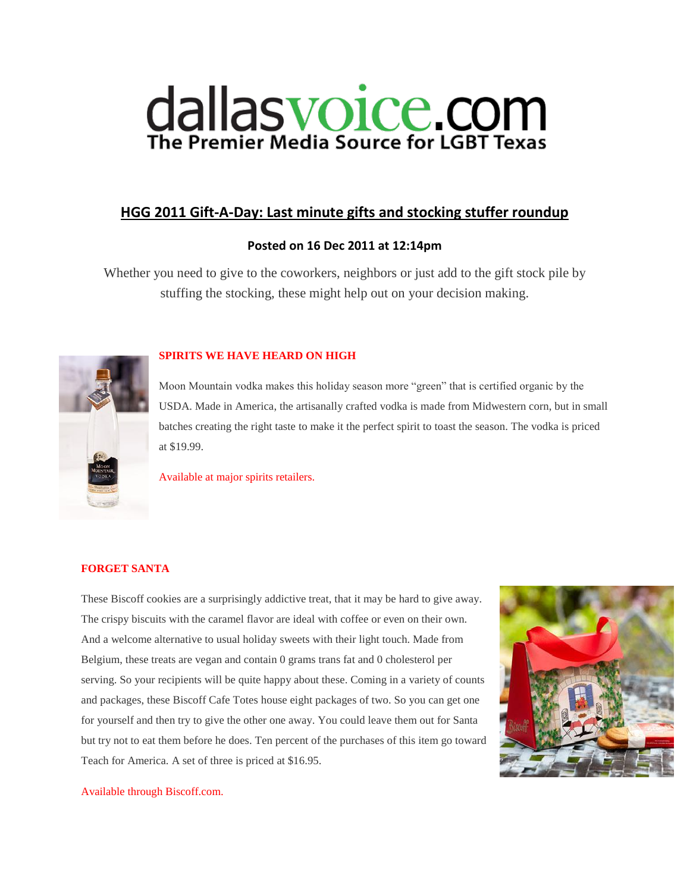# dallasvoice.com

# **[HGG 2011 Gift-A-Day: Last minute gifts and stocking stuffer roundup](http://www.dallasvoice.com/hgg-2011-gift-a-day-minute-gifts-stocking-stuffer-roundup-1096934.html)**

# **Posted on 16 Dec 2011 at 12:14pm**

Whether you need to give to the coworkers, neighbors or just add to the gift stock pile by stuffing the stocking, these might help out on your decision making.



# **SPIRITS WE HAVE HEARD ON HIGH**

Moon Mountain vodka makes this holiday season more "green" that is certified organic by the USDA. Made in America, the artisanally crafted vodka is made from Midwestern corn, but in small batches creating the right taste to make it the perfect spirit to toast the season. The vodka is priced at \$19.99.

Available at major spirits retailers.

# **FORGET SANTA**

These Biscoff cookies are a surprisingly addictive treat, that it may be hard to give away. The crispy biscuits with the caramel flavor are ideal with coffee or even on their own. And a welcome alternative to usual holiday sweets with their light touch. Made from Belgium, these treats are vegan and contain 0 grams trans fat and 0 cholesterol per serving. So your recipients will be quite happy about these. Coming in a variety of counts and packages, these Biscoff Cafe Totes house eight packages of two. So you can get one for yourself and then try to give the other one away. You could leave them out for Santa but try not to eat them before he does. Ten percent of the purchases of this item go toward Teach for America. A set of three is priced at \$16.95.



### Available through Biscoff.com.